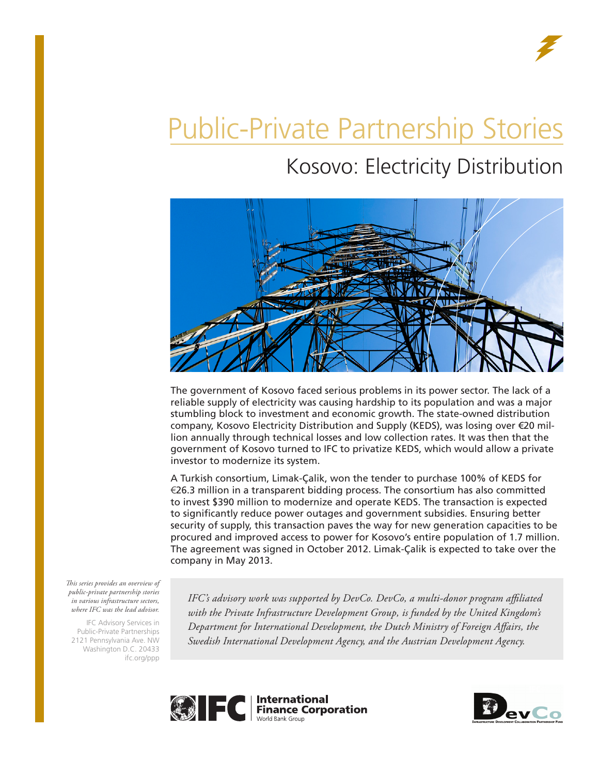

# Public-Private Partnership Stories

## Kosovo: Electricity Distribution



The government of Kosovo faced serious problems in its power sector. The lack of a reliable supply of electricity was causing hardship to its population and was a major stumbling block to investment and economic growth. The state-owned distribution company, Kosovo Electricity Distribution and Supply (KEDS), was losing over €20 million annually through technical losses and low collection rates. It was then that the government of Kosovo turned to IFC to privatize KEDS, which would allow a private investor to modernize its system.

A Turkish consortium, Limak-Çalik, won the tender to purchase 100% of KEDS for €26.3 million in a transparent bidding process. The consortium has also committed to invest \$390 million to modernize and operate KEDS. The transaction is expected to significantly reduce power outages and government subsidies. Ensuring better security of supply, this transaction paves the way for new generation capacities to be procured and improved access to power for Kosovo's entire population of 1.7 million. The agreement was signed in October 2012. Limak-Çalik is expected to take over the company in May 2013.

*This series provides an overview of public-private partnership stories in various infrastructure sectors, where IFC was the lead advisor.* 

IFC Advisory Services in Public-Private Partnerships 2121 Pennsylvania Ave. NW Washington D.C. 20433 ifc.org/ppp

*IFC's advisory work was supported by DevCo. DevCo, a multi-donor program affiliated with the Private Infrastructure Development Group, is funded by the United Kingdom's Department for International Development, the Dutch Ministry of Foreign Affairs, the Swedish International Development Agency, and the Austrian Development Agency.*